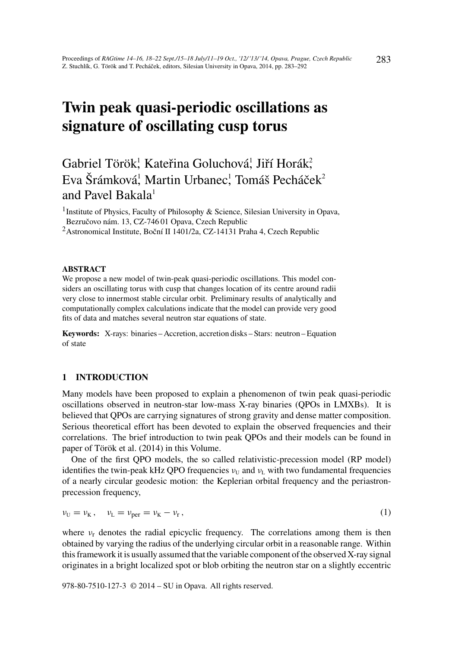# Twin peak quasi-periodic oscillations as signature of oscillating cusp torus

Gabriel Török<sup>!</sup>, Kateřina Goluchová<sup>!</sup>, Jiří Horák<del>?</del> Eva Šrámková, Martin Urbanec, Tomáš Pecháček<sup>2</sup> and Pavel Bakala<sup>1</sup>

<sup>1</sup> Institute of Physics, Faculty of Philosophy & Science, Silesian University in Opava, Bezručovo nám. 13, CZ-746 01 Opava, Czech Republic

<sup>2</sup> Astronomical Institute, Boční II 1401/2a, CZ-14131 Praha 4, Czech Republic

## ABSTRACT

We propose a new model of twin-peak quasi-periodic oscillations. This model considers an oscillating torus with cusp that changes location of its centre around radii very close to innermost stable circular orbit. Preliminary results of analytically and computationally complex calculations indicate that the model can provide very good fits of data and matches several neutron star equations of state.

Keywords: X-rays: binaries – Accretion, accretion disks – Stars: neutron – Equation of state

# 1 INTRODUCTION

Many models have been proposed to explain a phenomenon of twin peak quasi-periodic oscillations observed in neutron-star low-mass X-ray binaries (QPOs in LMXBs). It is believed that QPOs are carrying signatures of strong gravity and dense matter composition. Serious theoretical effort has been devoted to explain the observed frequencies and their correlations. The brief introduction to twin peak QPOs and their models can be found in paper of Török et al. (2014) in this Volume.

One of the first QPO models, the so called relativistic-precession model (RP model) identifies the twin-peak kHz QPO frequencies  $v_U$  and  $v_L$  with two fundamental frequencies of a nearly circular geodesic motion: the Keplerian orbital frequency and the periastronprecession frequency,

$$
\nu_{\rm U} = \nu_{\rm K} \,, \quad \nu_{\rm L} = \nu_{\rm per} = \nu_{\rm K} - \nu_{\rm r} \,, \tag{1}
$$

where  $v_r$  denotes the radial epicyclic frequency. The correlations among them is then obtained by varying the radius of the underlying circular orbit in a reasonable range. Within this framework it is usually assumed that the variable component of the observed X-ray signal originates in a bright localized spot or blob orbiting the neutron star on a slightly eccentric

978-80-7510-127-3 © 2014 – SU in Opava. All rights reserved.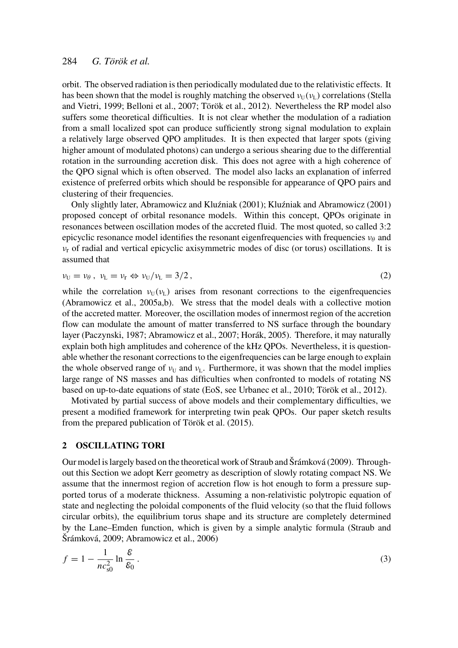## 284 *G. Török et al.*

orbit. The observed radiation is then periodically modulated due to the relativistic effects. It has been shown that the model is roughly matching the observed  $v_{\text{U}}(v_{\text{L}})$  correlations (Stella and Vietri, 1999; Belloni et al., 2007; Török et al., 2012). Nevertheless the RP model also suffers some theoretical difficulties. It is not clear whether the modulation of a radiation from a small localized spot can produce sufficiently strong signal modulation to explain a relatively large observed QPO amplitudes. It is then expected that larger spots (giving higher amount of modulated photons) can undergo a serious shearing due to the differential rotation in the surrounding accretion disk. This does not agree with a high coherence of the QPO signal which is often observed. The model also lacks an explanation of inferred existence of preferred orbits which should be responsible for appearance of QPO pairs and clustering of their frequencies.

Only slightly later, Abramowicz and Kluźniak (2001); Kluźniak and Abramowicz (2001) proposed concept of orbital resonance models. Within this concept, QPOs originate in resonances between oscillation modes of the accreted fluid. The most quoted, so called 3:2 epicyclic resonance model identifies the resonant eigenfrequencies with frequencies  $v_{\theta}$  and  $v_r$  of radial and vertical epicyclic axisymmetric modes of disc (or torus) oscillations. It is assumed that

$$
\nu_{\rm U} = \nu_{\theta} \,, \quad \nu_{\rm L} = \nu_{\rm r} \Leftrightarrow \nu_{\rm U}/\nu_{\rm L} = 3/2 \,, \tag{2}
$$

while the correlation  $v_{\text{U}}(v_{\text{L}})$  arises from resonant corrections to the eigenfrequencies (Abramowicz et al., 2005a,b). We stress that the model deals with a collective motion of the accreted matter. Moreover, the oscillation modes of innermost region of the accretion flow can modulate the amount of matter transferred to NS surface through the boundary layer (Paczynski, 1987; Abramowicz et al., 2007; Horák, 2005). Therefore, it may naturally explain both high amplitudes and coherence of the kHz QPOs. Nevertheless, it is questionable whether the resonant corrections to the eigenfrequencies can be large enough to explain the whole observed range of  $v_U$  and  $v_L$ . Furthermore, it was shown that the model implies large range of NS masses and has difficulties when confronted to models of rotating NS based on up-to-date equations of state (EoS, see Urbanec et al., 2010; Török et al., 2012).

Motivated by partial success of above models and their complementary difficulties, we present a modified framework for interpreting twin peak QPOs. Our paper sketch results from the prepared publication of Török et al. (2015).

## 2 OSCILLATING TORI

Our model is largely based on the theoretical work of Straub and Šrámková (2009). Throughout this Section we adopt Kerr geometry as description of slowly rotating compact NS. We assume that the innermost region of accretion flow is hot enough to form a pressure supported torus of a moderate thickness. Assuming a non-relativistic polytropic equation of state and neglecting the poloidal components of the fluid velocity (so that the fluid follows circular orbits), the equilibrium torus shape and its structure are completely determined by the Lane–Emden function, which is given by a simple analytic formula (Straub and Šrámková, 2009; Abramowicz et al., 2006)

$$
f = 1 - \frac{1}{nc_{s0}^2} \ln \frac{\mathcal{E}}{\mathcal{E}_0} \,. \tag{3}
$$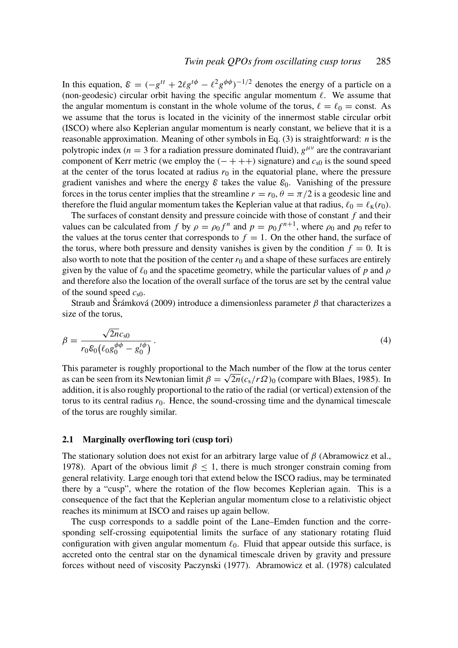In this equation,  $\mathcal{E} = (-g^{tt} + 2\ell g^{t\phi} - \ell^2 g^{\phi\phi})^{-1/2}$  denotes the energy of a particle on a (non-geodesic) circular orbit having the specific angular momentum  $\ell$ . We assume that the angular momentum is constant in the whole volume of the torus,  $\ell = \ell_0 = \text{const.}$  As we assume that the torus is located in the vicinity of the innermost stable circular orbit (ISCO) where also Keplerian angular momentum is nearly constant, we believe that it is a reasonable approximation. Meaning of other symbols in Eq. (3) is straightforward: *n* is the polytropic index ( $n = 3$  for a radiation pressure dominated fluid),  $g^{\mu\nu}$  are the contravariant component of Kerr metric (we employ the  $(- + + +)$  signature) and  $c_{s0}$  is the sound speed at the center of the torus located at radius  $r_0$  in the equatorial plane, where the pressure gradient vanishes and where the energy  $\varepsilon$  takes the value  $\varepsilon_0$ . Vanishing of the pressure forces in the torus center implies that the streamline  $r = r_0$ ,  $\theta = \pi/2$  is a geodesic line and therefore the fluid angular momentum takes the Keplerian value at that radius,  $\ell_0 = \ell_K(r_0)$ .

The surfaces of constant density and pressure coincide with those of constant *f* and their values can be calculated from *f* by  $\rho = \rho_0 f^n$  and  $p = p_0 f^{n+1}$ , where  $\rho_0$  and  $p_0$  refer to the values at the torus center that corresponds to  $f = 1$ . On the other hand, the surface of the torus, where both pressure and density vanishes is given by the condition  $f = 0$ . It is also worth to note that the position of the center  $r_0$  and a shape of these surfaces are entirely given by the value of  $\ell_0$  and the spacetime geometry, while the particular values of *p* and  $\rho$ and therefore also the location of the overall surface of the torus are set by the central value of the sound speed *c*s0.

Straub and Šrámková (2009) introduce a dimensionless parameter  $\beta$  that characterizes a size of the torus,

$$
\beta = \frac{\sqrt{2n}c_{s0}}{r_0 \mathcal{E}_0 \left(\ell_0 g_0^{\phi\phi} - g_0^{t\phi}\right)}.
$$
\n(4)

This parameter is roughly proportional to the Mach number of the flow at the torus center as can be seen from its Newtonian limit  $\beta = \sqrt{2n} (c_s/r\Omega)_0$  (compare with Blaes, 1985). In addition, it is also roughly proportional to the ratio of the radial (or vertical) extension of the torus to its central radius  $r_0$ . Hence, the sound-crossing time and the dynamical timescale of the torus are roughly similar.

#### 2.1 Marginally overflowing tori (cusp tori)

The stationary solution does not exist for an arbitrary large value of  $\beta$  (Abramowicz et al., 1978). Apart of the obvious limit  $\beta$  < 1, there is much stronger constrain coming from general relativity. Large enough tori that extend below the ISCO radius, may be terminated there by a "cusp", where the rotation of the flow becomes Keplerian again. This is a consequence of the fact that the Keplerian angular momentum close to a relativistic object reaches its minimum at ISCO and raises up again bellow.

The cusp corresponds to a saddle point of the Lane–Emden function and the corresponding self-crossing equipotential limits the surface of any stationary rotating fluid configuration with given angular momentum  $\ell_0$ . Fluid that appear outside this surface, is accreted onto the central star on the dynamical timescale driven by gravity and pressure forces without need of viscosity Paczynski (1977). Abramowicz et al. (1978) calculated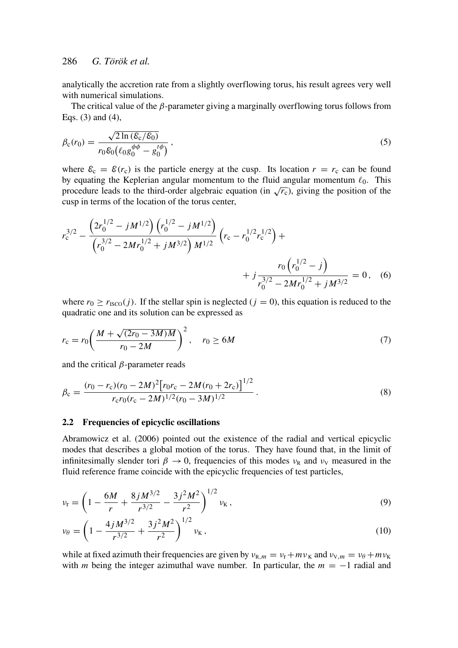## 286 *G. Török et al.*

analytically the accretion rate from a slightly overflowing torus, his result agrees very well with numerical simulations.

The critical value of the  $\beta$ -parameter giving a marginally overflowing torus follows from Eqs. (3) and (4),

$$
\beta_{\rm c}(r_0) = \frac{\sqrt{2\ln(\mathcal{E}_{\rm c}/\mathcal{E}_0)}}{r_0 \mathcal{E}_0(\ell_0 g_0^{\phi\phi} - g_0^{t\phi})},\tag{5}
$$

where  $\mathcal{E}_c = \mathcal{E}(r_c)$  is the particle energy at the cusp. Its location  $r = r_c$  can be found by equating the Keplerian angular momentum to the fluid angular momentum  $\ell_0$ . This procedure leads to the third-order algebraic equation (in  $\sqrt{r_c}$ ), giving the position of the procedure leads to the third-order algebraic equation (in  $\sqrt{r_c}$ ), giving the position of the cusp in terms of the location of the torus center,

$$
r_c^{3/2} - \frac{\left(2r_0^{1/2} - jM^{1/2}\right)\left(r_0^{1/2} - jM^{1/2}\right)}{\left(r_0^{3/2} - 2Mr_0^{1/2} + jM^{3/2}\right)M^{1/2}} \left(r_c - r_0^{1/2}r_c^{1/2}\right) + \frac{r_0\left(r_0^{1/2} - j\right)}{r_0^{3/2} - 2Mr_0^{1/2} + jM^{3/2}} = 0, \quad (6)
$$

where  $r_0 \ge r_{\text{ISCO}}(j)$ . If the stellar spin is neglected ( $j = 0$ ), this equation is reduced to the quadratic one and its solution can be expressed as

$$
r_{\rm c} = r_0 \left( \frac{M + \sqrt{(2r_0 - 3M)M}}{r_0 - 2M} \right)^2, \quad r_0 \ge 6M \tag{7}
$$

and the critical  $\beta$ -parameter reads

$$
\beta_{\rm c} = \frac{(r_0 - r_{\rm c})(r_0 - 2M)^2 [r_0 r_{\rm c} - 2M(r_0 + 2r_{\rm c})]^{1/2}}{r_{\rm c} r_0 (r_{\rm c} - 2M)^{1/2} (r_0 - 3M)^{1/2}}.
$$
\n(8)

## 2.2 Frequencies of epicyclic oscillations

Abramowicz et al. (2006) pointed out the existence of the radial and vertical epicyclic modes that describes a global motion of the torus. They have found that, in the limit of infinitesimally slender tori  $\beta \to 0$ , frequencies of this modes  $v_R$  and  $v_V$  measured in the fluid reference frame coincide with the epicyclic frequencies of test particles,

$$
\nu_{\rm r} = \left(1 - \frac{6M}{r} + \frac{8jM^{3/2}}{r^{3/2}} - \frac{3j^2M^2}{r^2}\right)^{1/2} \nu_{\rm K},\tag{9}
$$

$$
\nu_{\theta} = \left(1 - \frac{4jM^{3/2}}{r^{3/2}} + \frac{3j^2M^2}{r^2}\right)^{1/2} \nu_{\rm K},\tag{10}
$$

while at fixed azimuth their frequencies are given by  $v_{R,m} = v_r + mv_K$  and  $v_{V,m} = v_\theta + mv_K$ with *m* being the integer azimuthal wave number. In particular, the  $m = -1$  radial and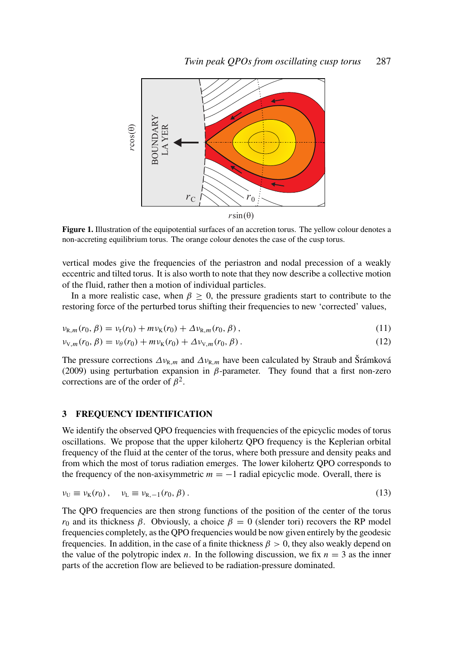

Figure 1. Illustration of the equipotential surfaces of an accretion torus. The yellow colour denotes a non-accreting equilibrium torus. The orange colour denotes the case of the cusp torus.

vertical modes give the frequencies of the periastron and nodal precession of a weakly eccentric and tilted torus. It is also worth to note that they now describe a collective motion of the fluid, rather then a motion of individual particles.

In a more realistic case, when  $\beta \geq 0$ , the pressure gradients start to contribute to the restoring force of the perturbed torus shifting their frequencies to new 'corrected' values,

$$
\nu_{R,m}(r_0,\beta) = \nu_r(r_0) + m\nu_K(r_0) + \Delta \nu_{R,m}(r_0,\beta) ,
$$
\n(11)

$$
\nu_{V,m}(r_0,\beta) = \nu_{\theta}(r_0) + m\nu_K(r_0) + \Delta \nu_{V,m}(r_0,\beta). \tag{12}
$$

The pressure corrections  $\Delta v_{R,m}$  and  $\Delta v_{R,m}$  have been calculated by Straub and Šrámková (2009) using perturbation expansion in  $\beta$ -parameter. They found that a first non-zero corrections are of the order of  $\beta^2$ .

## 3 FREQUENCY IDENTIFICATION

We identify the observed OPO frequencies with frequencies of the epicyclic modes of torus oscillations. We propose that the upper kilohertz QPO frequency is the Keplerian orbital frequency of the fluid at the center of the torus, where both pressure and density peaks and from which the most of torus radiation emerges. The lower kilohertz QPO corresponds to the frequency of the non-axisymmetric  $m = -1$  radial epicyclic mode. Overall, there is

$$
\nu_{\mathsf{U}} \equiv \nu_{\mathsf{K}}(r_0), \quad \nu_{\mathsf{L}} \equiv \nu_{\mathsf{R},-1}(r_0,\beta). \tag{13}
$$

The QPO frequencies are then strong functions of the position of the center of the torus *r*<sub>0</sub> and its thickness  $\beta$ . Obviously, a choice  $\beta = 0$  (slender tori) recovers the RP model frequencies completely, as the QPO frequencies would be now given entirely by the geodesic frequencies. In addition, in the case of a finite thickness  $\beta > 0$ , they also weakly depend on the value of the polytropic index *n*. In the following discussion, we fix  $n = 3$  as the inner parts of the accretion flow are believed to be radiation-pressure dominated.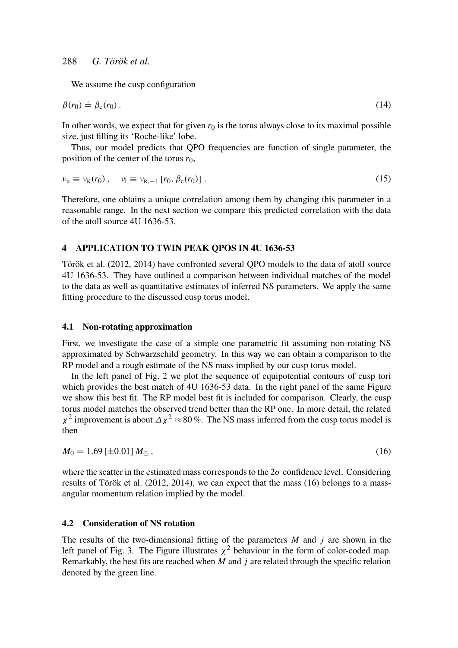We assume the cusp configuration

$$
\beta(r_0) \doteq \beta_{\rm c}(r_0). \tag{14}
$$

In other words, we expect that for given  $r_0$  is the torus always close to its maximal possible size, just filling its 'Roche-like' lobe.

Thus, our model predicts that QPO frequencies are function of single parameter, the position of the center of the torus  $r_0$ ,

$$
\nu_{\rm u} \equiv \nu_{\rm K}(r_0) \,, \quad \nu_{\rm l} \equiv \nu_{\rm R, -1} \left[ r_0, \beta_{\rm c}(r_0) \right] \,. \tag{15}
$$

Therefore, one obtains a unique correlation among them by changing this parameter in a reasonable range. In the next section we compare this predicted correlation with the data of the atoll source 4U 1636-53.

## 4 APPLICATION TO TWIN PEAK QPOS IN 4U 1636-53

Török et al. (2012, 2014) have confronted several QPO models to the data of atoll source 4U 1636-53. They have outlined a comparison between individual matches of the model to the data as well as quantitative estimates of inferred NS parameters. We apply the same fitting procedure to the discussed cusp torus model.

## 4.1 Non-rotating approximation

First, we investigate the case of a simple one parametric fit assuming non-rotating NS approximated by Schwarzschild geometry. In this way we can obtain a comparison to the RP model and a rough estimate of the NS mass implied by our cusp torus model.

In the left panel of Fig. 2 we plot the sequence of equipotential contours of cusp tori which provides the best match of 4U 1636-53 data. In the right panel of the same Figure we show this best fit. The RP model best fit is included for comparison. Clearly, the cusp torus model matches the observed trend better than the RP one. In more detail, the related  $\chi^2$  improvement is about  $\Delta \chi^2 \approx 80\%$ . The NS mass inferred from the cusp torus model is then

$$
M_0 = 1.69 \left[ \pm 0.01 \right] M_{\odot}, \tag{16}
$$

where the scatter in the estimated mass corresponds to the  $2\sigma$  confidence level. Considering results of Török et al. (2012, 2014), we can expect that the mass (16) belongs to a massangular momentum relation implied by the model.

## 4.2 Consideration of NS rotation

The results of the two-dimensional fitting of the parameters *M* and *j* are shown in the left panel of Fig. 3. The Figure illustrates  $\chi^2$  behaviour in the form of color-coded map. Remarkably, the best fits are reached when *M* and *j* are related through the specific relation denoted by the green line.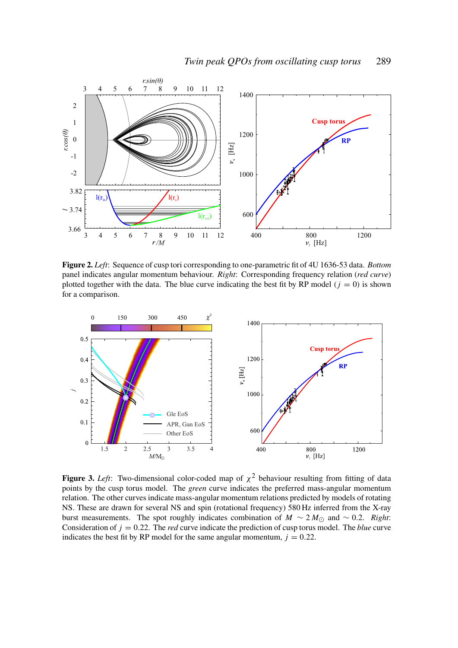

Figure 2. *Left*: Sequence of cusp tori corresponding to one-parametric fit of 4U 1636-53 data. *Bottom* panel indicates angular momentum behaviour. *Right*: Corresponding frequency relation (*red curve*) plotted together with the data. The blue curve indicating the best fit by RP model  $(j = 0)$  is shown for a comparison.



**Figure 3.** Left: Two-dimensional color-coded map of  $\chi^2$  behaviour resulting from fitting of data points by the cusp torus model. The *green* curve indicates the preferred mass-angular momentum relation. The other curves indicate mass-angular momentum relations predicted by models of rotating NS. These are drawn for several NS and spin (rotational frequency) 580 Hz inferred from the X-ray burst measurements. The spot roughly indicates combination of  $M \sim 2 M_{\odot}$  and ~ 0.2. *Right*: Consideration of  $j = 0.22$ . The *red* curve indicate the prediction of cusp torus model. The *blue* curve indicates the best fit by RP model for the same angular momentum,  $j = 0.22$ .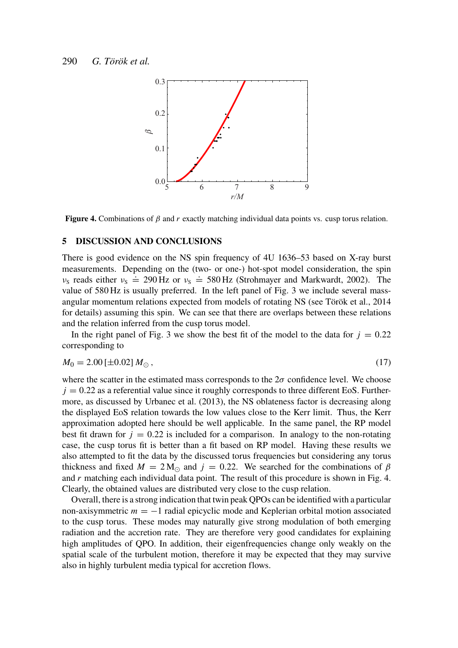

Figure 4. Combinations of  $\beta$  and  $r$  exactly matching individual data points vs. cusp torus relation.

#### 5 DISCUSSION AND CONCLUSIONS

There is good evidence on the NS spin frequency of 4U 1636–53 based on X-ray burst measurements. Depending on the (two- or one-) hot-spot model consideration, the spin  $v_s$  reads either  $v_s \doteq 290$  Hz or  $v_s \doteq 580$  Hz (Strohmayer and Markwardt, 2002). The value of 580 Hz is usually preferred. In the left panel of Fig. 3 we include several massangular momentum relations expected from models of rotating NS (see Török et al., 2014 for details) assuming this spin. We can see that there are overlaps between these relations and the relation inferred from the cusp torus model.

In the right panel of Fig. 3 we show the best fit of the model to the data for  $j = 0.22$ corresponding to

$$
M_0 = 2.00 \left[ \pm 0.02 \right] M_{\odot}, \tag{17}
$$

where the scatter in the estimated mass corresponds to the  $2\sigma$  confidence level. We choose  $j = 0.22$  as a referential value since it roughly corresponds to three different EoS. Furthermore, as discussed by Urbanec et al. (2013), the NS oblateness factor is decreasing along the displayed EoS relation towards the low values close to the Kerr limit. Thus, the Kerr approximation adopted here should be well applicable. In the same panel, the RP model best fit drawn for  $j = 0.22$  is included for a comparison. In analogy to the non-rotating case, the cusp torus fit is better than a fit based on RP model. Having these results we also attempted to fit the data by the discussed torus frequencies but considering any torus thickness and fixed  $M = 2 M_{\odot}$  and  $j = 0.22$ . We searched for the combinations of  $\beta$ and *r* matching each individual data point. The result of this procedure is shown in Fig. 4. Clearly, the obtained values are distributed very close to the cusp relation.

Overall, there is a strong indication that twin peak QPOs can be identified with a particular non-axisymmetric *m* = −1 radial epicyclic mode and Keplerian orbital motion associated to the cusp torus. These modes may naturally give strong modulation of both emerging radiation and the accretion rate. They are therefore very good candidates for explaining high amplitudes of QPO. In addition, their eigenfrequencies change only weakly on the spatial scale of the turbulent motion, therefore it may be expected that they may survive also in highly turbulent media typical for accretion flows.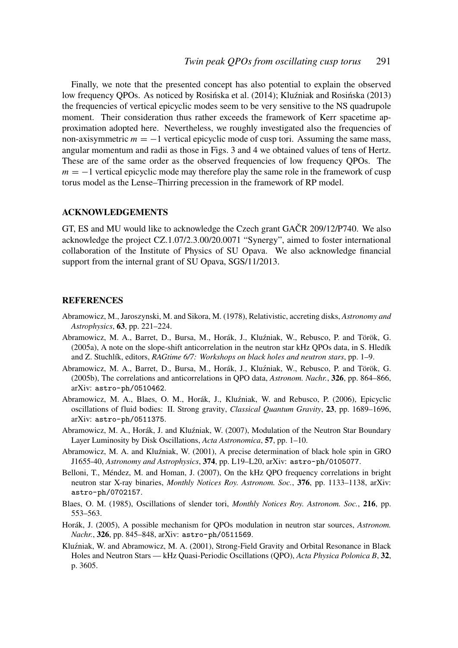Finally, we note that the presented concept has also potential to explain the observed low frequency OPOs. As noticed by Rosińska et al. (2014); Kluźniak and Rosińska (2013) the frequencies of vertical epicyclic modes seem to be very sensitive to the NS quadrupole moment. Their consideration thus rather exceeds the framework of Kerr spacetime approximation adopted here. Nevertheless, we roughly investigated also the frequencies of non-axisymmetric  $m = -1$  vertical epicyclic mode of cusp tori. Assuming the same mass, angular momentum and radii as those in Figs. 3 and 4 we obtained values of tens of Hertz. These are of the same order as the observed frequencies of low frequency QPOs. The *m* = −1 vertical epicyclic mode may therefore play the same role in the framework of cusp torus model as the Lense–Thirring precession in the framework of RP model.

## ACKNOWLEDGEMENTS

GT, ES and MU would like to acknowledge the Czech grant GAČR 209/12/P740. We also acknowledge the project CZ.1.07/2.3.00/20.0071 "Synergy", aimed to foster international collaboration of the Institute of Physics of SU Opava. We also acknowledge financial support from the internal grant of SU Opava, SGS/11/2013.

## **REFERENCES**

- Abramowicz, M., Jaroszynski, M. and Sikora, M. (1978), Relativistic, accreting disks, *Astronomy and Astrophysics*, 63, pp. 221–224.
- Abramowicz, M. A., Barret, D., Bursa, M., Horák, J., Kluzniak, W., Rebusco, P. and Török, G. ´ (2005a), A note on the slope-shift anticorrelation in the neutron star kHz QPOs data, in S. Hledík and Z. Stuchlík, editors, *RAGtime 6/7: Workshops on black holes and neutron stars*, pp. 1–9.
- Abramowicz, M. A., Barret, D., Bursa, M., Horák, J., Kluzniak, W., Rebusco, P. and Török, G. ´ (2005b), The correlations and anticorrelations in QPO data, *Astronom. Nachr.*, 326, pp. 864–866, arXiv: astro-ph/0510462.
- Abramowicz, M. A., Blaes, O. M., Horák, J., Kluzniak, W. and Rebusco, P. (2006), Epicyclic ´ oscillations of fluid bodies: II. Strong gravity, *Classical Quantum Gravity*, 23, pp. 1689–1696, arXiv: astro-ph/0511375.
- Abramowicz, M. A., Horák, J. and Kluźniak, W. (2007), Modulation of the Neutron Star Boundary Layer Luminosity by Disk Oscillations, *Acta Astronomica*, 57, pp. 1–10.
- Abramowicz, M. A. and Kluźniak, W. (2001), A precise determination of black hole spin in GRO J1655-40, *Astronomy and Astrophysics*, 374, pp. L19–L20, arXiv: astro-ph/0105077.
- Belloni, T., Méndez, M. and Homan, J. (2007), On the kHz QPO frequency correlations in bright neutron star X-ray binaries, *Monthly Notices Roy. Astronom. Soc.*, 376, pp. 1133–1138, arXiv: astro-ph/0702157.
- Blaes, O. M. (1985), Oscillations of slender tori, *Monthly Notices Roy. Astronom. Soc.*, 216, pp. 553–563.
- Horák, J. (2005), A possible mechanism for QPOs modulation in neutron star sources, *Astronom. Nachr.*, 326, pp. 845–848, arXiv: astro-ph/0511569.
- Kluźniak, W. and Abramowicz, M. A. (2001), Strong-Field Gravity and Orbital Resonance in Black Holes and Neutron Stars — kHz Quasi-Periodic Oscillations (QPO), *Acta Physica Polonica B*, 32, p. 3605.